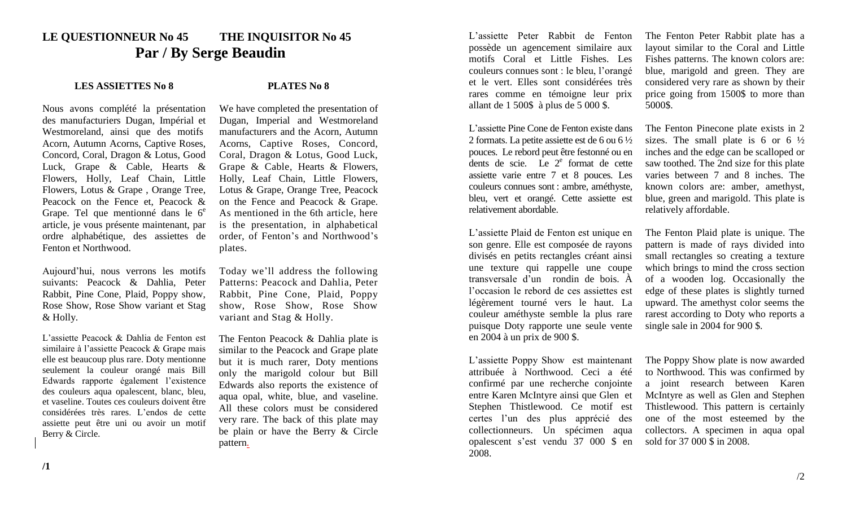## **LE QUESTIONNEUR No 45 THE INQUISITOR No 45 Par / By Serge Beaudin**

## **LES ASSIETTES No 8 PLATES No 8**

Nous avons complété la présentation des manufacturiers Dugan, Impérial et Westmoreland, ainsi que des motifs Acorn, Autumn Acorns, Captive Roses, Concord, Coral, Dragon & Lotus, Good Luck, Grape & Cable, Hearts & Flowers, Holly, Leaf Chain, Little Flowers, Lotus & Grape , Orange Tree, Peacock on the Fence et, Peacock & Grape. Tel que mentionné dans le  $6<sup>e</sup>$ article, je vous présente maintenant, par ordre alphabétique, des assiettes de Fenton et Northwood.

Aujourd'hui, nous verrons les motifs suivants: Peacock & Dahlia, Peter Rabbit, Pine Cone, Plaid, Poppy show, Rose Show, Rose Show variant et Stag & Holly.

L'assiette Peacock & Dahlia de Fenton est similaire à l'assiette Peacock & Grape mais elle est beaucoup plus rare. Doty mentionne seulement la couleur orangé mais Bill Edwards rapporte également l'existence des couleurs aqua opalescent, blanc, bleu, et vaseline. Toutes ces couleurs doivent être considérées très rares. L'endos de cette assiette peut être uni ou avoir un motif Berry & Circle.

We have completed the presentation of Dugan, Imperial and Westmoreland manufacturers and the Acorn, Autumn Acorns, Captive Roses, Concord, Coral, Dragon & Lotus, Good Luck, Grape & Cable, Hearts & Flowers, Holly, Leaf Chain, Little Flowers, Lotus & Grape, Orange Tree, Peacock on the Fence and Peacock & Grape. As mentioned in the 6th article, here is the presentation, in alphabetical order, of Fenton's and Northwood's plates.

Today we'll address the following Patterns: Peacock and Dahlia, Peter Rabbit, Pine Cone, Plaid, Poppy show, Rose Show, Rose Show variant and Stag & Holly.

The Fenton Peacock & Dahlia plate is similar to the Peacock and Grape plate but it is much rarer, Doty mentions only the marigold colour but Bill Edwards also reports the existence of aqua opal, white, blue, and vaseline. All these colors must be considered very rare. The back of this plate may be plain or have the Berry & Circle pattern.

L'assiette Peter Rabbit de Fenton possède un agencement similaire aux motifs Coral et Little Fishes. Les couleurs connues sont : le bleu, l'orangé et le vert. Elles sont considérées très rares comme en témoigne leur prix allant de 1 500\$ à plus de 5 000 \$.

L'assiette Pine Cone de Fenton existe dans 2 formats. La petite assiette est de 6 ou 6 ½ pouces. Le rebord peut être festonné ou en dents de scie. Le  $2^e$  format de cette assiette varie entre 7 et 8 pouces. Les couleurs connues sont : ambre, améthyste, bleu, vert et orangé. Cette assiette est relativement abordable.

L'assiette Plaid de Fenton est unique en son genre. Elle est composée de rayons divisés en petits rectangles créant ainsi une texture qui rappelle une coupe transversale d'un rondin de bois. À l'occasion le rebord de ces assiettes est légèrement tourné vers le haut. La couleur améthyste semble la plus rare puisque Doty rapporte une seule vente en 2004 à un prix de 900 \$.

L'assiette Poppy Show est maintenant attribuée à Northwood. Ceci a été confirmé par une recherche conjointe entre Karen McIntyre ainsi que Glen et Stephen Thistlewood. Ce motif est certes l'un des plus apprécié des collectionneurs. Un spécimen aqua opalescent s'est vendu 37 000 \$ en 2008.

The Fenton Peter Rabbit plate has a layout similar to the Coral and Little Fishes patterns. The known colors are: blue, marigold and green. They are considered very rare as shown by their price going from 1500\$ to more than 5000\$.

The Fenton Pinecone plate exists in 2 sizes. The small plate is 6 or 6  $\frac{1}{2}$ inches and the edge can be scalloped or saw toothed. The 2nd size for this plate varies between 7 and 8 inches. The known colors are: amber, amethyst, blue, green and marigold. This plate is relatively affordable.

The Fenton Plaid plate is unique. The pattern is made of rays divided into small rectangles so creating a texture which brings to mind the cross section of a wooden log. Occasionally the edge of these plates is slightly turned upward. The amethyst color seems the rarest according to Doty who reports a single sale in 2004 for 900 \$.

The Poppy Show plate is now awarded to Northwood. This was confirmed by a joint research between Karen McIntyre as well as Glen and Stephen Thistlewood. This pattern is certainly one of the most esteemed by the collectors. A specimen in aqua opal sold for 37 000 \$ in 2008.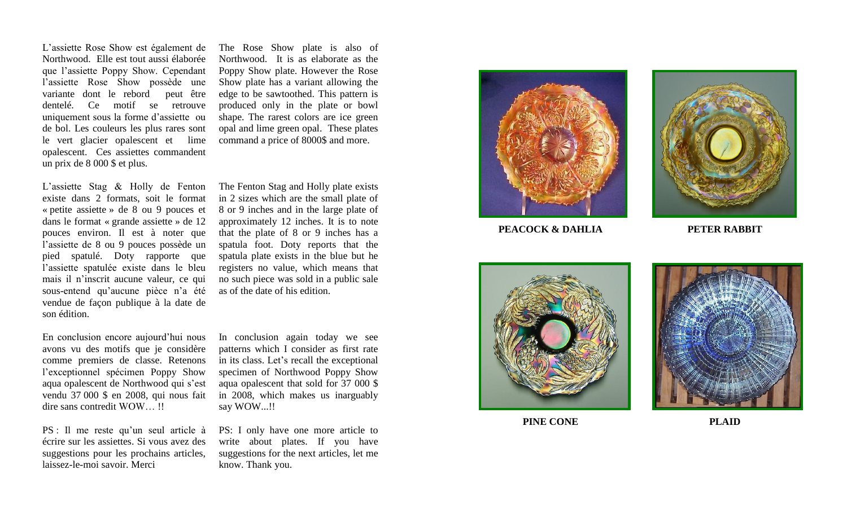L'assiette Rose Show est également de Northwood. Elle est tout aussi élaborée que l'assiette Poppy Show. Cependant l'assiette Rose Show possède une variante dont le rebord peut être dentelé. Ce motif se retrouve uniquement sous la forme d'assiette ou de bol. Les couleurs les plus rares sont le vert glacier opalescent et lime opalescent. Ces assiettes commandent un prix de 8 000 \$ et plus.

L'assiette Stag & Holly de Fenton existe dans 2 formats, soit le format « petite assiette » de 8 ou 9 pouces et dans le format « grande assiette » de 12 pouces environ. Il est à noter que l'assiette de 8 ou 9 pouces possède un pied spatulé. Doty rapporte que l'assiette spatulée existe dans le bleu mais il n'inscrit aucune valeur, ce qui sous -entend qu'aucune pièce n'a été vendue de façon publique à la date de son édition.

En conclusion encore aujourd'hui nous avons vu des motifs que je considère comme premier s de classe. Retenons l'exceptionnel spécimen Poppy Show aqua opalescent de Northwood qui s'est vendu 37 000 \$ en 2008, qui nous fait dire sans contredit WOW… !!

PS : Il me reste qu'un seul article à écrire sur les assiettes . Si vous avez des suggestions pour les prochains articles, laisse z -le -moi savoir. Merci

The Rose Show plate is also of Northwood. It is as elaborate as the Poppy Show plate. However the Rose Show plate has a variant allowing the edge to be sawtoothed. This pattern is produced only in the plate or bowl shape. The rarest colors are ice green opal and lime green opal. These plates command a price of 8000\$ and more.

The Fenton Stag and Holly plate exists in 2 sizes which are the small plate of 8 or 9 inches and in the large plate of approximately 12 inches. It is to note that the plate of 8 or 9 inches has a spatula foot. Doty report s that the spatula plate exists in the blue but he registers no value, which means that no such piece was sold in a public sale as of the date of his edition .

In conclusion again today we see patterns which I consider as first rate in its class. Let's recall the exceptional specimen of Northwood Poppy Show aqua opalescent that sold for 37 000 \$ in 2008, which makes us inarguably say WOW...!!

PS: I only have one more article to write about plates . If you have suggestions for the next articles, let me know. Thank you .





**PEACOCK & DAHLIA PETER RABBIT**





**PINE CONE PLAID**